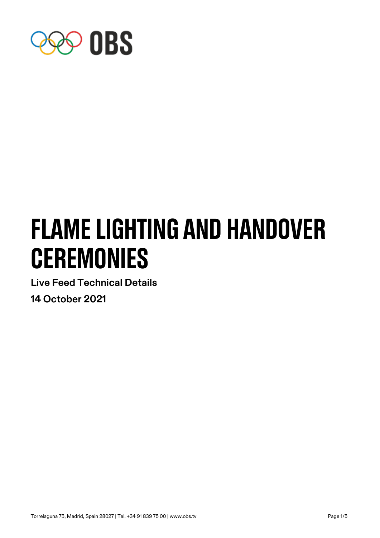

# flame lighting and handover **CEREMONIES**

**Live Feed Technical Details**

**14 October 2021**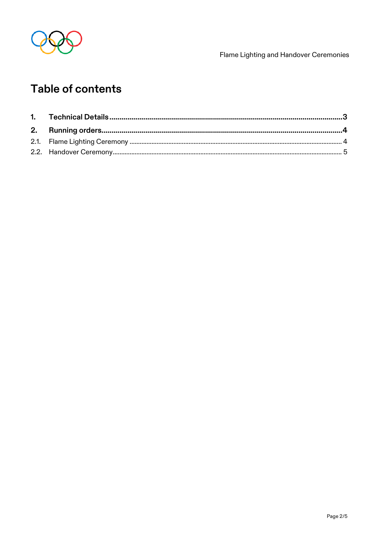

Flame Lighting and Handover Ceremonies

## Table of contents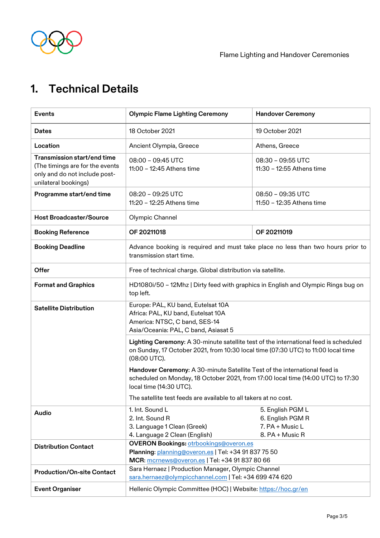

Flame Lighting and Handover Ceremonies

# <span id="page-2-0"></span>**1. Technical Details**

| <b>Events</b>                                                                                                           | <b>Olympic Flame Lighting Ceremony</b>                                                                                                                                                    | <b>Handover Ceremony</b>                                                   |
|-------------------------------------------------------------------------------------------------------------------------|-------------------------------------------------------------------------------------------------------------------------------------------------------------------------------------------|----------------------------------------------------------------------------|
| <b>Dates</b>                                                                                                            | 18 October 2021                                                                                                                                                                           | 19 October 2021                                                            |
| Location                                                                                                                | Ancient Olympia, Greece                                                                                                                                                                   | Athens, Greece                                                             |
| Transmission start/end time<br>(The timings are for the events<br>only and do not include post-<br>unilateral bookings) | 08:00 - 09:45 UTC<br>11:00 - 12:45 Athens time                                                                                                                                            | 08:30 - 09:55 UTC<br>11:30 - 12:55 Athens time                             |
| Programme start/end time                                                                                                | 08:20 - 09:25 UTC<br>11:20 - 12:25 Athens time                                                                                                                                            | 08:50 - 09:35 UTC<br>11:50 - 12:35 Athens time                             |
| <b>Host Broadcaster/Source</b>                                                                                          | Olympic Channel                                                                                                                                                                           |                                                                            |
| <b>Booking Reference</b>                                                                                                | OF 20211018                                                                                                                                                                               | OF 20211019                                                                |
| <b>Booking Deadline</b>                                                                                                 | Advance booking is required and must take place no less than two hours prior to<br>transmission start time.                                                                               |                                                                            |
| Offer                                                                                                                   | Free of technical charge. Global distribution via satellite.                                                                                                                              |                                                                            |
| <b>Format and Graphics</b>                                                                                              | HD1080i/50 - 12Mhz   Dirty feed with graphics in English and Olympic Rings bug on<br>top left.                                                                                            |                                                                            |
| <b>Satellite Distribution</b>                                                                                           | Europe: PAL, KU band, Eutelsat 10A<br>Africa: PAL, KU band, Eutelsat 10A<br>America: NTSC, C band, SES-14<br>Asia/Oceania: PAL, C band, Asiasat 5                                         |                                                                            |
|                                                                                                                         | Lighting Ceremony: A 30-minute satellite test of the international feed is scheduled<br>on Sunday, 17 October 2021, from 10:30 local time (07:30 UTC) to 11:00 local time<br>(08:00 UTC). |                                                                            |
|                                                                                                                         | Handover Ceremony: A 30-minute Satellite Test of the international feed is<br>scheduled on Monday, 18 October 2021, from 17:00 local time (14:00 UTC) to 17:30<br>local time (14:30 UTC). |                                                                            |
|                                                                                                                         | The satellite test feeds are available to all takers at no cost.                                                                                                                          |                                                                            |
| Audio                                                                                                                   | 1. Int. Sound L<br>2. Int. Sound R<br>3. Language 1 Clean (Greek)<br>4. Language 2 Clean (English)                                                                                        | 5. English PGM L<br>6. English PGM R<br>7. PA + Music L<br>8. PA + Music R |
| <b>Distribution Contact</b>                                                                                             | <b>OVERON Bookings: otrbookings@overon.es</b><br>Planning: planning@overon.es   Tel: +34 91 837 75 50<br>MCR: mcrnews@overon.es   Tel: +34 91 837 80 66                                   |                                                                            |
| <b>Production/On-site Contact</b>                                                                                       | Sara Hernaez   Production Manager, Olympic Channel<br>sara.hernaez@olympicchannel.com   Tel: +34 699 474 620                                                                              |                                                                            |
| <b>Event Organiser</b>                                                                                                  | Hellenic Olympic Committee (HOC)   Website: https://hoc.gr/en                                                                                                                             |                                                                            |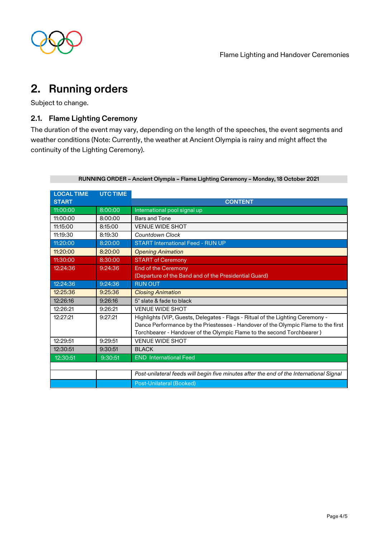

### <span id="page-3-0"></span>**2. Running orders**

Subject to change.

#### <span id="page-3-1"></span>**2.1. Flame Lighting Ceremony**

The duration of the event may vary, depending on the length of the speeches, the event segments and weather conditions (Note: Currently, the weather at Ancient Olympia is rainy and might affect the continuity of the Lighting Ceremony).

| <b>LOCAL TIME</b> | <b>UTC TIME</b> |                                                                                         |
|-------------------|-----------------|-----------------------------------------------------------------------------------------|
| <b>START</b>      |                 | <b>CONTENT</b>                                                                          |
| 11:00:00          | 8:00:00         | International pool signal up                                                            |
| 11:00:00          | 8:00:00         | Bars and Tone                                                                           |
| 11:15:00          | 8:15:00         | <b>VENUE WIDE SHOT</b>                                                                  |
| 11:19:30          | 8:19:30         | Countdown Clock                                                                         |
| 11:20:00          | 8:20:00         | <b>START International Feed - RUN UP</b>                                                |
| 11:20:00          | 8:20:00         | <b>Opening Animation</b>                                                                |
| 11:30:00          | 8:30:00         | <b>START of Ceremony</b>                                                                |
| 12:24:36          | 9:24:36         | <b>End of the Ceremony</b>                                                              |
|                   |                 | (Departure of the Band and of the Presidential Guard)                                   |
| 12:24:36          | 9:24:36         | <b>RUN OUT</b>                                                                          |
| 12:25:36          | 9:25:36         | <b>Closing Animation</b>                                                                |
| 12:26:16          | 9:26:16         | 5" slate & fade to black                                                                |
| 12:26:21          | 9:26:21         | <b>VENUE WIDE SHOT</b>                                                                  |
| 12:27:21          | 9:27:21         | Highlights (VIP, Guests, Delegates - Flags - Ritual of the Lighting Ceremony -          |
|                   |                 | Dance Performance by the Priestesses - Handover of the Olympic Flame to the first       |
|                   |                 | Torchbearer - Handover of the Olympic Flame to the second Torchbearer)                  |
| 12:29:51          | 9:29:51         | <b>VENUE WIDE SHOT</b>                                                                  |
| 12:30:51          | 9:30:51         | <b>BLACK</b>                                                                            |
| 12:30:51          | 9:30:51         | <b>END</b> International Feed                                                           |
|                   |                 |                                                                                         |
|                   |                 | Post-unilateral feeds will begin five minutes after the end of the International Signal |
|                   |                 | Post-Unilateral (Booked)                                                                |

#### **RUNNING ORDER – Ancient Olympia – Flame Lighting Ceremony – Monday, 18 October 2021**